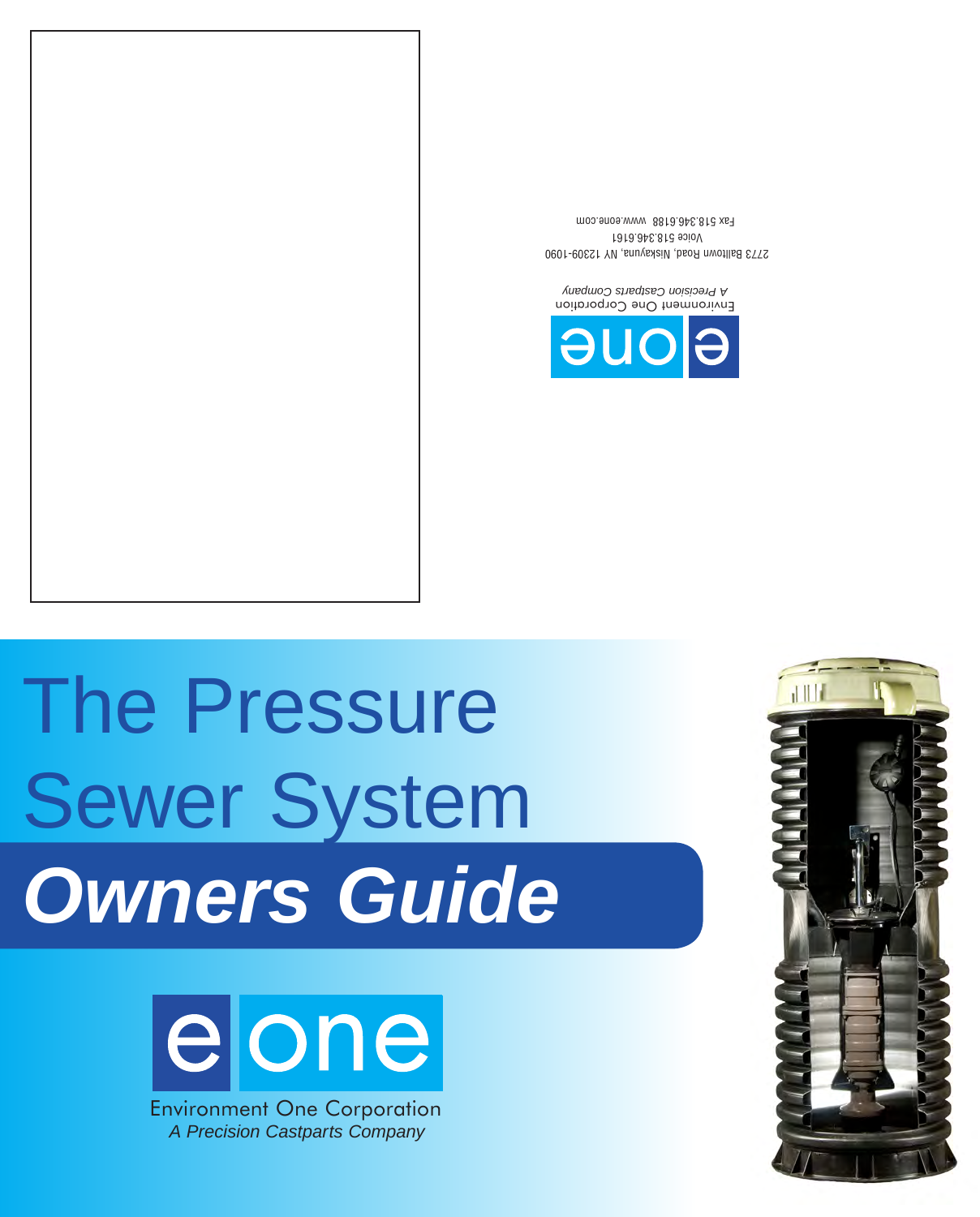

# The Pressure Sewer System *Owners Guide*





Environment One Corporation *A Precision Castparts Company*

2773 Balltown Road, Niskayuna, NY 12309-1090 Voice 518.346.6161 Fax 518.346.6188 www.eone.com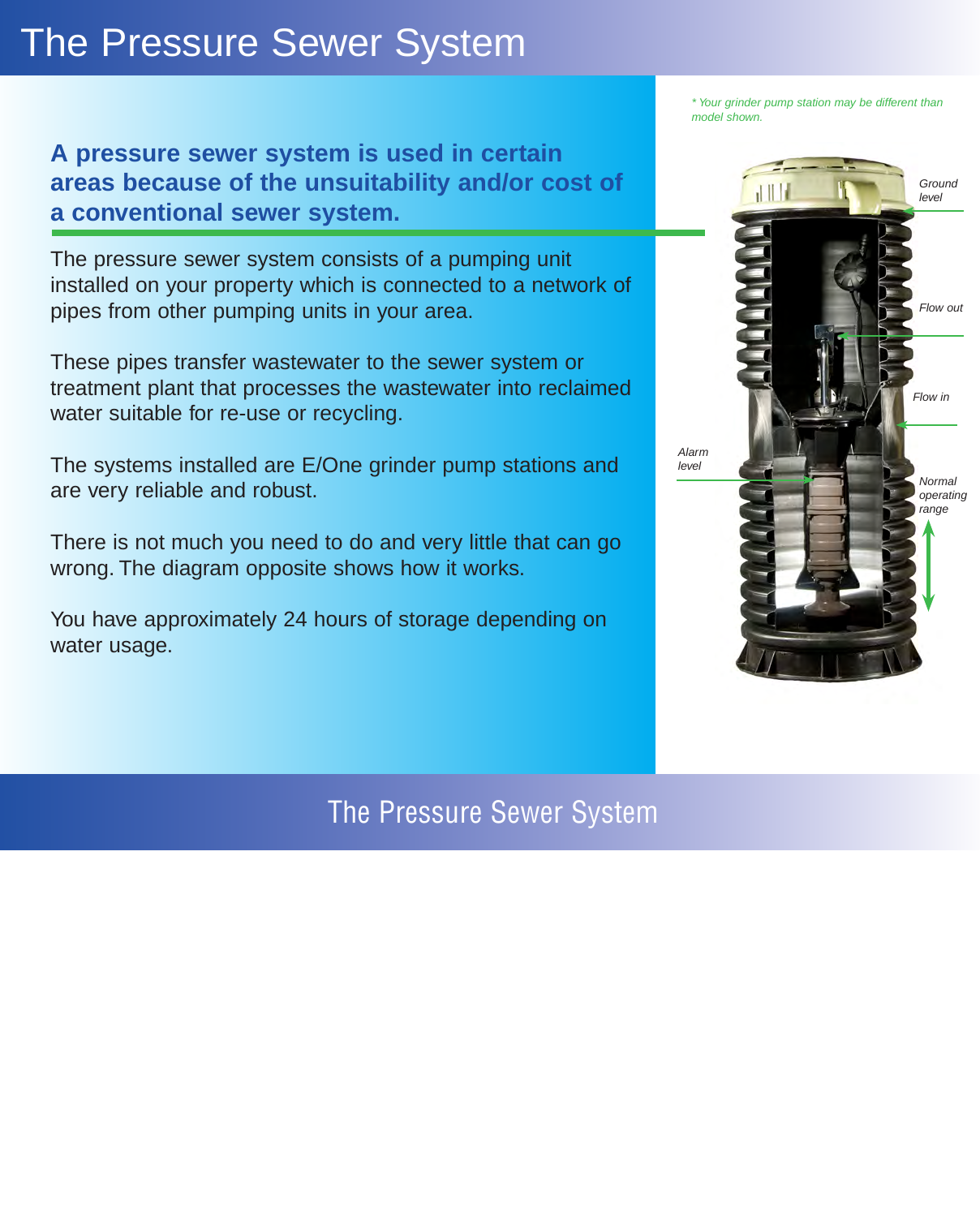# The Pressure Sewer System

**A pressure sewer system is used in certain areas because of the unsuitability and/or cost of a conventional sewer system.**

The pressure sewer system consists of a pumping unit installed on your property which is connected to a network of pipes from other pumping units in your area.

These pipes transfer wastewater to the sewer system or treatment plant that processes the wastewater into reclaimed water suitable for re-use or recycling.

The systems installed are E/One grinder pump stations and are very reliable and robust.

There is not much you need to do and very little that can go wrong. The diagram opposite shows how it works.

You have approximately 24 hours of storage depending on water usage.

The Pressure Sewer System

*\* Your grinder pump station may be different than model shown.*

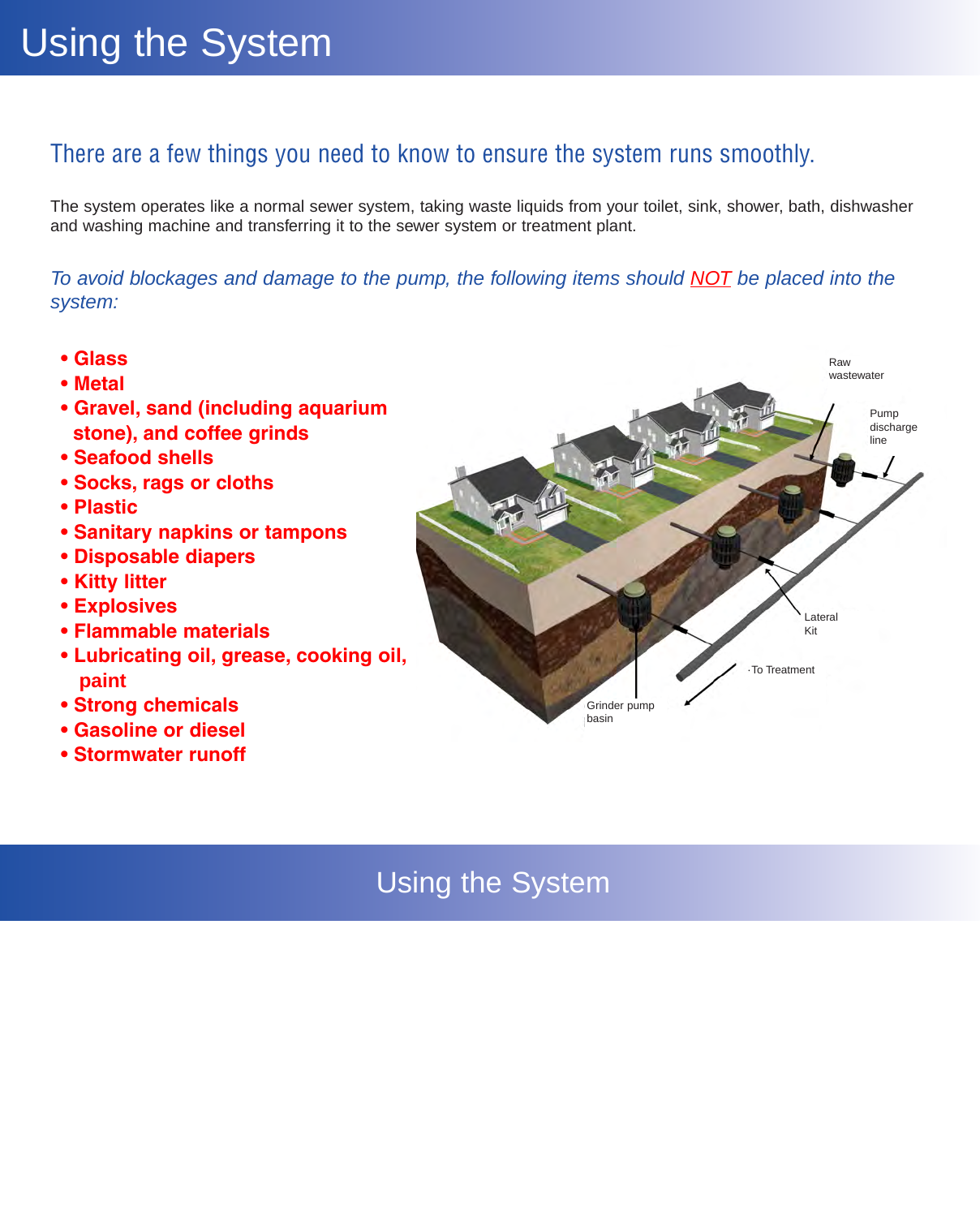## There are a few things you need to know to ensure the system runs smoothly.

The system operates like a normal sewer system, taking waste liquids from your toilet, sink, shower, bath, dishwasher and washing machine and transferring it to the sewer system or treatment plant.

*To avoid blockages and damage to the pump, the following items should NOT be placed into the system:*

- **Glass**
- **Metal**
- **Gravel, sand (including aquarium stone), and coffee grinds**
- **Seafood shells**
- **Socks, rags or cloths**
- **Plastic**
- **Sanitary napkins or tampons**
- **Disposable diapers**
- **Kitty litter**
- **Explosives**
- **Flammable materials**
- **Lubricating oil, grease, cooking oil, paint**
- **Strong chemicals**
- **Gasoline or diesel**
- **Stormwater runoff**



## Using the System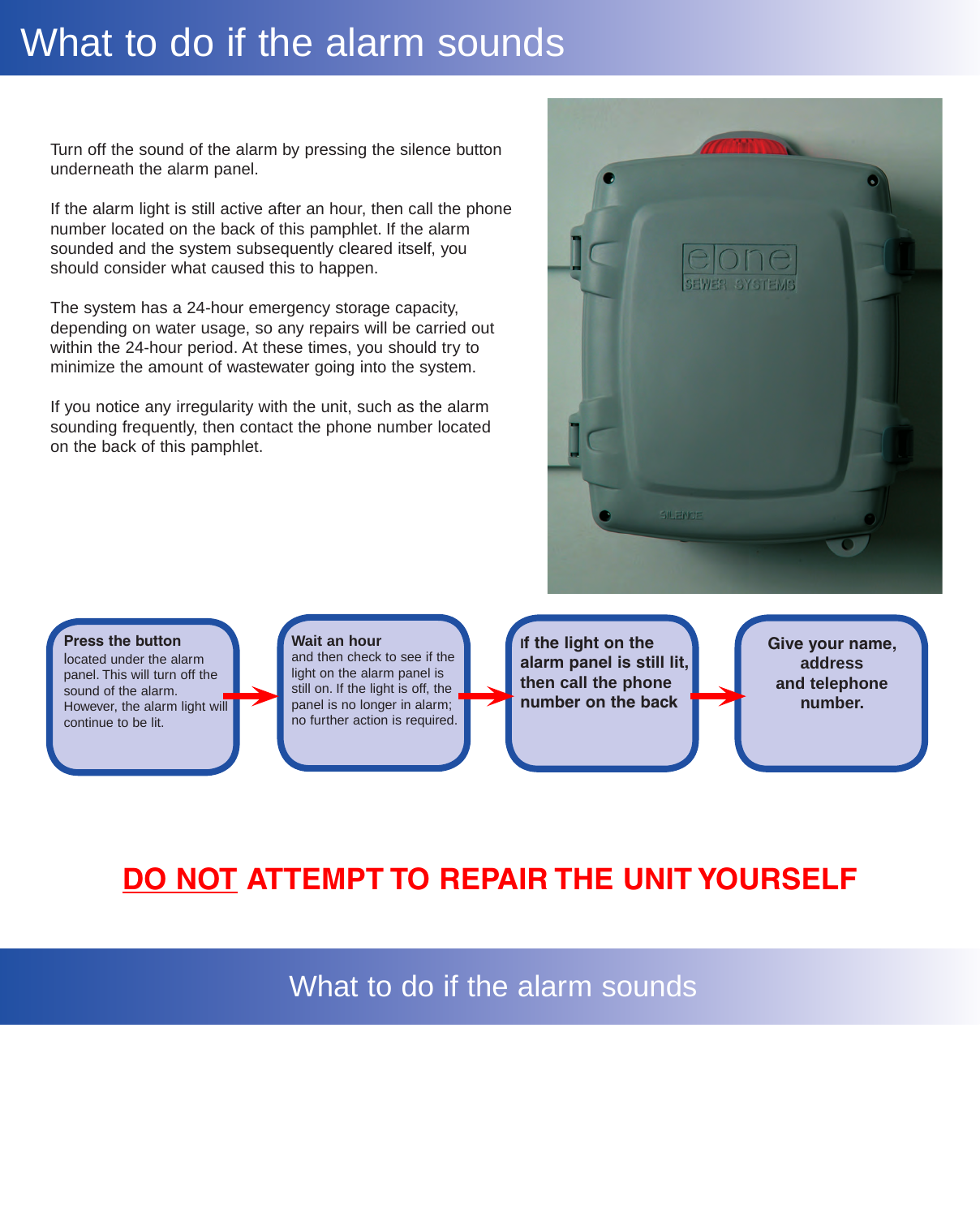## What to do if the alarm sounds

Turn off the sound of the alarm by pressing the silence button underneath the alarm panel.

If the alarm light is still active after an hour, then call the phone number located on the back of this pamphlet. If the alarm sounded and the system subsequently cleared itself, you should consider what caused this to happen.

The system has a 24-hour emergency storage capacity, depending on water usage, so any repairs will be carried out within the 24-hour period. At these times, you should try to minimize the amount of wastewater going into the system.

If you notice any irregularity with the unit, such as the alarm sounding frequently, then contact the phone number located on the back of this pamphlet.



#### **Press the button**

located under the alarm panel. This will turn off the sound of the alarm. However, the alarm light will continue to be lit.

#### **Wait an hour**

and then check to see if the light on the alarm panel is still on. If the light is off, the panel is no longer in alarm; no further action is required.

**If the light on the alarm panel is still lit, then call the phone number on the back**

**Give your name, address and telephone number.**

## **DO NOT ATTEMPT TO REPAIR THE UNIT YOURSELF**

What to do if the alarm sounds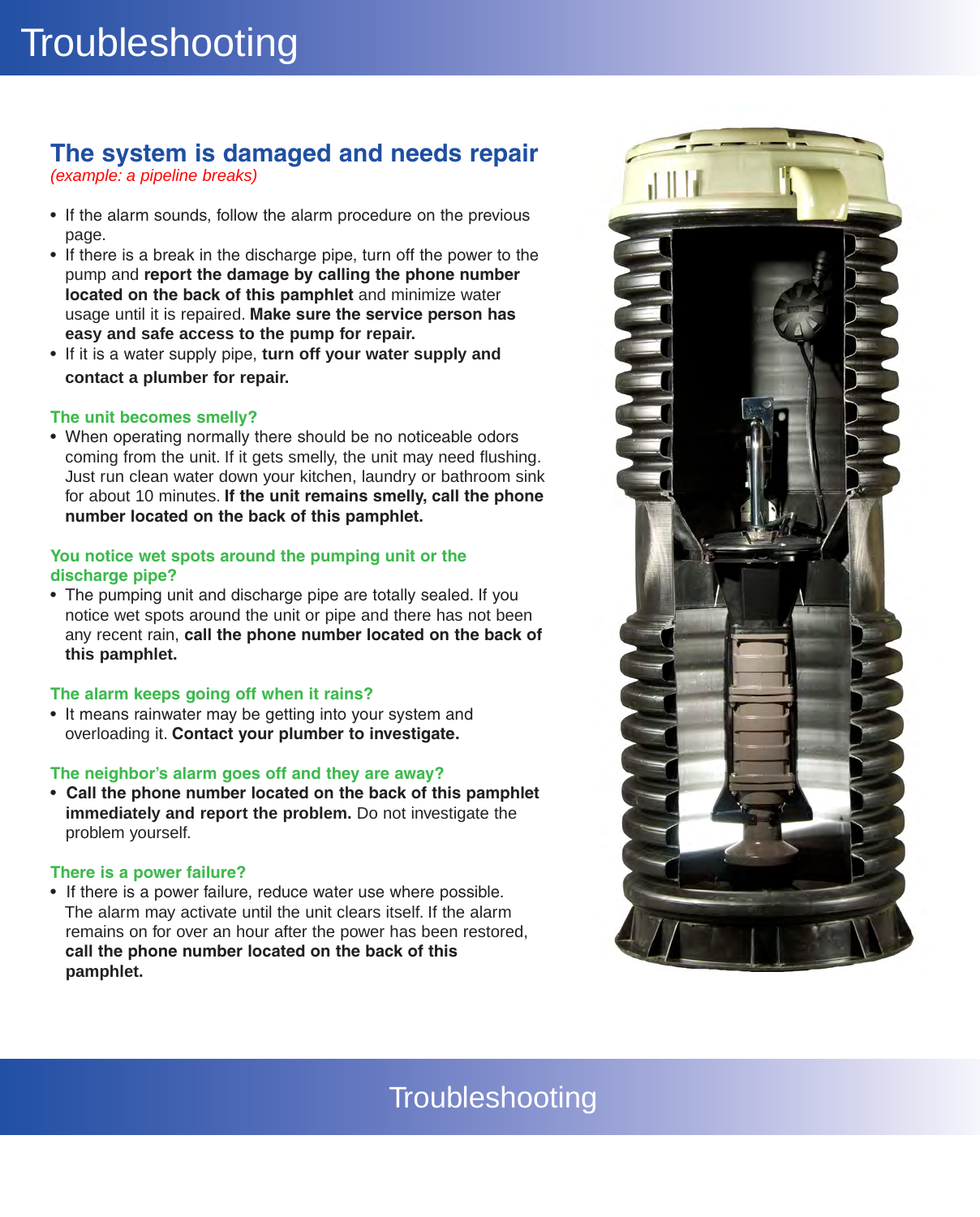## **The system is damaged and needs repair**

*(example: a pipeline breaks)*

- If the alarm sounds, follow the alarm procedure on the previous page.
- If there is a break in the discharge pipe, turn off the power to the pump and **report the damage by calling the phone number located on the back of this pamphlet** and minimize water usage until it is repaired. **Make sure the service person has easy and safe access to the pump for repair.**
- If it is a water supply pipe, turn off your water supply and **contact a plumber for repair.**

#### **The unit becomes smelly?**

• When operating normally there should be no noticeable odors coming from the unit. If it gets smelly, the unit may need flushing. Just run clean water down your kitchen, laundry or bathroom sink for about 10 minutes. **If the unit remains smelly, call the phone number located on the back of this pamphlet.**

#### **You notice wet spots around the pumping unit or the discharge pipe?**

• The pumping unit and discharge pipe are totally sealed. If you notice wet spots around the unit or pipe and there has not been any recent rain, **call the phone number located on the back of this pamphlet.**

#### **The alarm keeps going off when it rains?**

• It means rainwater may be getting into your system and overloading it. **Contact your plumber to investigate.**

#### **The neighbor's alarm goes off and they are away?**

• **Call the phone number located on the back of this pamphlet immediately and report the problem.** Do not investigate the problem yourself.

#### **There is a power failure?**

• If there is a power failure, reduce water use where possible. The alarm may activate until the unit clears itself. If the alarm remains on for over an hour after the power has been restored, **call the phone number located on the back of this pamphlet.**



## **Troubleshooting**